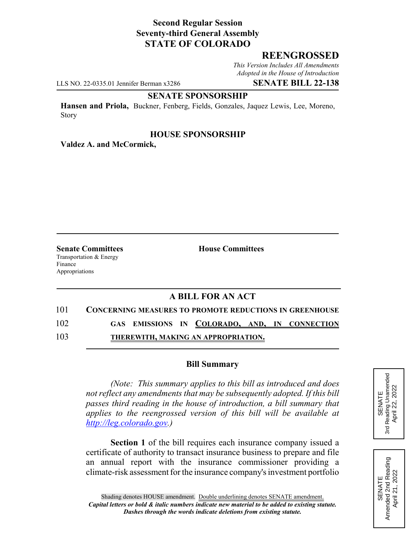# **Second Regular Session Seventy-third General Assembly STATE OF COLORADO**

## **REENGROSSED**

*This Version Includes All Amendments Adopted in the House of Introduction*

LLS NO. 22-0335.01 Jennifer Berman x3286 **SENATE BILL 22-138**

# **SENATE SPONSORSHIP**

**Hansen and Priola,** Buckner, Fenberg, Fields, Gonzales, Jaquez Lewis, Lee, Moreno, Story

### **HOUSE SPONSORSHIP**

**Valdez A. and McCormick,**

Transportation & Energy Finance Appropriations

**Senate Committees House Committees** 

# **A BILL FOR AN ACT**

#### 101 **CONCERNING MEASURES TO PROMOTE REDUCTIONS IN GREENHOUSE**

102 **GAS EMISSIONS IN COLORADO, AND, IN CONNECTION**

103 **THEREWITH, MAKING AN APPROPRIATION.**

### **Bill Summary**

*(Note: This summary applies to this bill as introduced and does not reflect any amendments that may be subsequently adopted. If this bill passes third reading in the house of introduction, a bill summary that applies to the reengrossed version of this bill will be available at http://leg.colorado.gov.)*

**Section 1** of the bill requires each insurance company issued a certificate of authority to transact insurance business to prepare and file an annual report with the insurance commissioner providing a climate-risk assessment for the insurance company's investment portfolio



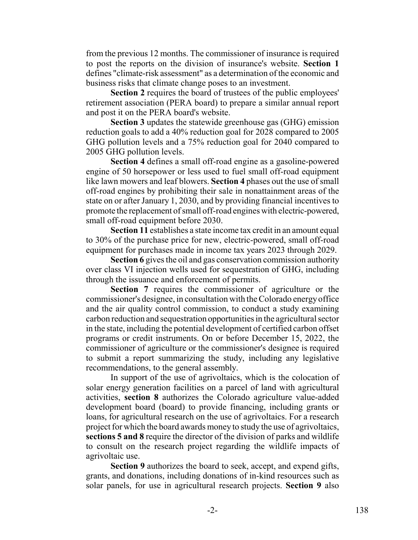from the previous 12 months. The commissioner of insurance is required to post the reports on the division of insurance's website. **Section 1** defines "climate-risk assessment" as a determination of the economic and business risks that climate change poses to an investment.

**Section 2** requires the board of trustees of the public employees' retirement association (PERA board) to prepare a similar annual report and post it on the PERA board's website.

**Section 3** updates the statewide greenhouse gas (GHG) emission reduction goals to add a 40% reduction goal for 2028 compared to 2005 GHG pollution levels and a 75% reduction goal for 2040 compared to 2005 GHG pollution levels.

**Section 4** defines a small off-road engine as a gasoline-powered engine of 50 horsepower or less used to fuel small off-road equipment like lawn mowers and leaf blowers. **Section 4** phases out the use of small off-road engines by prohibiting their sale in nonattainment areas of the state on or after January 1, 2030, and by providing financial incentives to promote the replacement of small off-road engines with electric-powered, small off-road equipment before 2030.

**Section 11** establishes a state income tax credit in an amount equal to 30% of the purchase price for new, electric-powered, small off-road equipment for purchases made in income tax years 2023 through 2029.

**Section 6** gives the oil and gas conservation commission authority over class VI injection wells used for sequestration of GHG, including through the issuance and enforcement of permits.

**Section 7** requires the commissioner of agriculture or the commissioner's designee, in consultation with the Colorado energy office and the air quality control commission, to conduct a study examining carbon reduction and sequestration opportunities in the agricultural sector in the state, including the potential development of certified carbon offset programs or credit instruments. On or before December 15, 2022, the commissioner of agriculture or the commissioner's designee is required to submit a report summarizing the study, including any legislative recommendations, to the general assembly.

In support of the use of agrivoltaics, which is the colocation of solar energy generation facilities on a parcel of land with agricultural activities, **section 8** authorizes the Colorado agriculture value-added development board (board) to provide financing, including grants or loans, for agricultural research on the use of agrivoltaics. For a research project for which the board awards money to study the use of agrivoltaics, **sections 5 and 8** require the director of the division of parks and wildlife to consult on the research project regarding the wildlife impacts of agrivoltaic use.

**Section 9** authorizes the board to seek, accept, and expend gifts, grants, and donations, including donations of in-kind resources such as solar panels, for use in agricultural research projects. **Section 9** also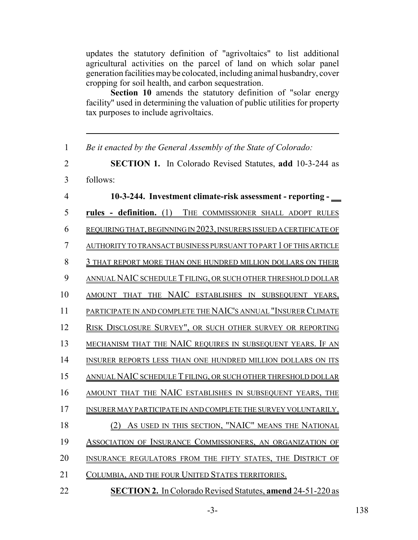updates the statutory definition of "agrivoltaics" to list additional agricultural activities on the parcel of land on which solar panel generation facilities may be colocated, including animal husbandry, cover cropping for soil health, and carbon sequestration.

**Section 10** amends the statutory definition of "solar energy facility" used in determining the valuation of public utilities for property tax purposes to include agrivoltaics.

| $\mathbf{1}$   | Be it enacted by the General Assembly of the State of Colorado:          |
|----------------|--------------------------------------------------------------------------|
| $\overline{2}$ | <b>SECTION 1.</b> In Colorado Revised Statutes, add 10-3-244 as          |
| 3              | follows:                                                                 |
| $\overline{4}$ | 10-3-244. Investment climate-risk assessment - reporting -               |
| 5              | rules - definition. (1) THE COMMISSIONER SHALL ADOPT RULES               |
| 6              | REQUIRING THAT, BEGINNING IN 2023, INSURERS ISSUED A CERTIFICATE OF      |
| $\overline{7}$ | <u>AUTHORITY TO TRANSACT BUSINESS PURSUANT TO PART 1 OF THIS ARTICLE</u> |
| 8              | 3 THAT REPORT MORE THAN ONE HUNDRED MILLION DOLLARS ON THEIR             |
| 9              | ANNUAL NAIC SCHEDULE T FILING, OR SUCH OTHER THRESHOLD DOLLAR            |
| 10             | AMOUNT THAT THE NAIC ESTABLISHES IN SUBSEQUENT YEARS,                    |
| 11             | PARTICIPATE IN AND COMPLETE THE NAIC'S ANNUAL "INSURER CLIMATE           |
| 12             | RISK DISCLOSURE SURVEY", OR SUCH OTHER SURVEY OR REPORTING               |
| 13             | MECHANISM THAT THE NAIC REQUIRES IN SUBSEQUENT YEARS. IF AN              |
| 14             | INSURER REPORTS LESS THAN ONE HUNDRED MILLION DOLLARS ON ITS             |
| 15             | <u>ANNUAL NAIC SCHEDULE T FILING, OR SUCH OTHER THRESHOLD DOLLAR</u>     |
| 16             | AMOUNT THAT THE NAIC ESTABLISHES IN SUBSEQUENT YEARS, THE                |
| 17             | INSURER MAY PARTICIPATE IN AND COMPLETE THE SURVEY VOLUNTARILY.          |
| 18             | (2) AS USED IN THIS SECTION, "NAIC" MEANS THE NATIONAL                   |
| 19             | ASSOCIATION OF INSURANCE COMMISSIONERS, AN ORGANIZATION OF               |
| 20             | INSURANCE REGULATORS FROM THE FIFTY STATES, THE DISTRICT OF              |
| 21             | COLUMBIA, AND THE FOUR UNITED STATES TERRITORIES.                        |
| $\sim$ $\sim$  |                                                                          |

22 **SECTION 2.** In Colorado Revised Statutes, **amend** 24-51-220 as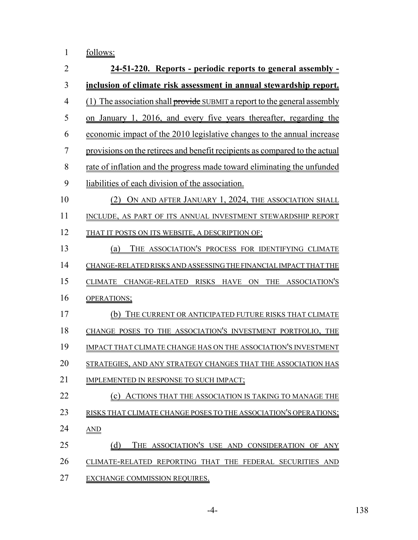|  | follows: |
|--|----------|
|  |          |

| $\overline{2}$ | 24-51-220. Reports - periodic reports to general assembly -                 |
|----------------|-----------------------------------------------------------------------------|
| 3              | inclusion of climate risk assessment in annual stewardship report.          |
| $\overline{4}$ | (1) The association shall provide SUBMIT a report to the general assembly   |
| 5              | on January 1, 2016, and every five years thereafter, regarding the          |
| 6              | economic impact of the 2010 legislative changes to the annual increase      |
| 7              | provisions on the retirees and benefit recipients as compared to the actual |
| 8              | rate of inflation and the progress made toward eliminating the unfunded     |
| 9              | liabilities of each division of the association.                            |
| 10             | (2) ON AND AFTER JANUARY 1, 2024, THE ASSOCIATION SHALL                     |
| 11             | INCLUDE, AS PART OF ITS ANNUAL INVESTMENT STEWARDSHIP REPORT                |
| 12             | THAT IT POSTS ON ITS WEBSITE, A DESCRIPTION OF:                             |
| 13             | THE ASSOCIATION'S PROCESS FOR IDENTIFYING CLIMATE<br>(a)                    |
| 14             | CHANGE-RELATED RISKS AND ASSESSING THE FINANCIAL IMPACT THAT THE            |
| 15             | CLIMATE CHANGE-RELATED RISKS HAVE ON THE ASSOCIATION'S                      |
| 16             | OPERATIONS;                                                                 |
| 17             | (b) THE CURRENT OR ANTICIPATED FUTURE RISKS THAT CLIMATE                    |
| 18             | CHANGE POSES TO THE ASSOCIATION'S INVESTMENT PORTFOLIO, THE                 |
| 19             | IMPACT THAT CLIMATE CHANGE HAS ON THE ASSOCIATION'S INVESTMENT              |
| 20             | STRATEGIES, AND ANY STRATEGY CHANGES THAT THE ASSOCIATION HAS               |
| 21             | IMPLEMENTED IN RESPONSE TO SUCH IMPACT;                                     |
| 22             | (c) ACTIONS THAT THE ASSOCIATION IS TAKING TO MANAGE THE                    |
| 23             | RISKS THAT CLIMATE CHANGE POSES TO THE ASSOCIATION'S OPERATIONS;            |
| 24             | AND                                                                         |
| 25             | THE ASSOCIATION'S USE AND CONSIDERATION OF ANY<br>(d)                       |
| 26             | CLIMATE-RELATED REPORTING THAT THE FEDERAL SECURITIES AND                   |
| 27             | <b>EXCHANGE COMMISSION REQUIRES.</b>                                        |

-4- 138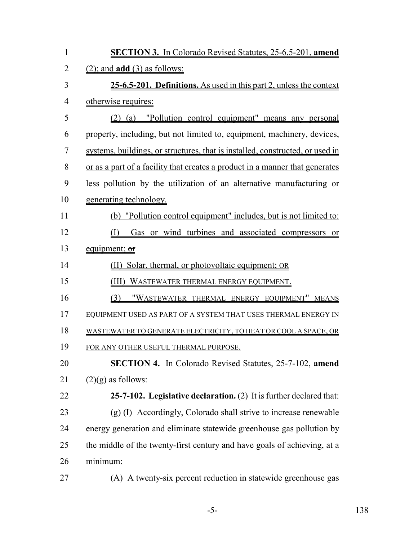| $\mathbf{1}$   | <b>SECTION 3.</b> In Colorado Revised Statutes, 25-6.5-201, amend             |
|----------------|-------------------------------------------------------------------------------|
| $\overline{2}$ | $(2)$ ; and <b>add</b> $(3)$ as follows:                                      |
| 3              | 25-6.5-201. Definitions. As used in this part 2, unless the context           |
| $\overline{4}$ | otherwise requires:                                                           |
| 5              | (2) (a) "Pollution control equipment" means any personal                      |
| 6              | property, including, but not limited to, equipment, machinery, devices,       |
| 7              | systems, buildings, or structures, that is installed, constructed, or used in |
| 8              | or as a part of a facility that creates a product in a manner that generates  |
| 9              | less pollution by the utilization of an alternative manufacturing or          |
| 10             | generating technology.                                                        |
| 11             | (b) "Pollution control equipment" includes, but is not limited to:            |
| 12             | Gas or wind turbines and associated compressors or<br>(I)                     |
| 13             | equipment; or                                                                 |
| 14             | (II) Solar, thermal, or photovoltaic equipment; OR                            |
| 15             | (III) WASTEWATER THERMAL ENERGY EQUIPMENT.                                    |
| 16             | "WASTEWATER THERMAL ENERGY EQUIPMENT" MEANS<br>(3)                            |
| 17             | EQUIPMENT USED AS PART OF A SYSTEM THAT USES THERMAL ENERGY IN                |
| 18             | WASTEWATER TO GENERATE ELECTRICITY, TO HEAT OR COOL A SPACE, OR               |
| 19             | FOR ANY OTHER USEFUL THERMAL PURPOSE.                                         |
| 20             | <b>SECTION 4.</b> In Colorado Revised Statutes, 25-7-102, amend               |
| 21             | $(2)(g)$ as follows:                                                          |
| 22             | 25-7-102. Legislative declaration. (2) It is further declared that:           |
| 23             | (g) (I) Accordingly, Colorado shall strive to increase renewable              |
| 24             | energy generation and eliminate statewide greenhouse gas pollution by         |
| 25             | the middle of the twenty-first century and have goals of achieving, at a      |
| 26             | minimum:                                                                      |
| 27             | (A) A twenty-six percent reduction in statewide greenhouse gas                |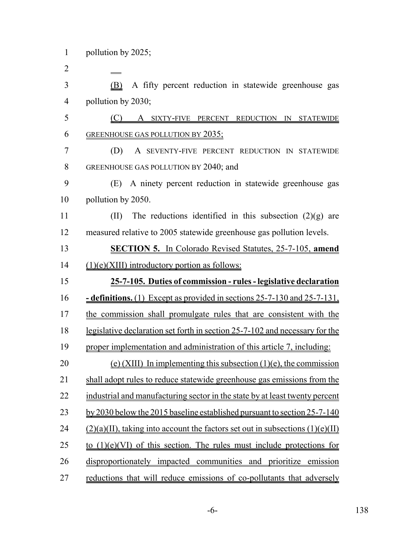(B) A fifty percent reduction in statewide greenhouse gas pollution by 2030;

 (C) A SIXTY-FIVE PERCENT REDUCTION IN STATEWIDE GREENHOUSE GAS POLLUTION BY 2035;

 (D) A SEVENTY-FIVE PERCENT REDUCTION IN STATEWIDE GREENHOUSE GAS POLLUTION BY 2040; and

 (E) A ninety percent reduction in statewide greenhouse gas pollution by 2050.

11 (II) The reductions identified in this subsection  $(2)(g)$  are measured relative to 2005 statewide greenhouse gas pollution levels.

 **SECTION 5.** In Colorado Revised Statutes, 25-7-105, **amend** (1)(e)(XIII) introductory portion as follows:

 **25-7-105. Duties of commission - rules - legislative declaration - definitions.** (1) Except as provided in sections 25-7-130 and 25-7-131, the commission shall promulgate rules that are consistent with the legislative declaration set forth in section 25-7-102 and necessary for the proper implementation and administration of this article 7, including: 20 (e) (XIII) In implementing this subsection  $(1)(e)$ , the commission shall adopt rules to reduce statewide greenhouse gas emissions from the 22 industrial and manufacturing sector in the state by at least twenty percent 23 by 2030 below the 2015 baseline established pursuant to section 25-7-140 24 (2)(a)(II), taking into account the factors set out in subsections  $(1)(e)(II)$ 25 to  $(1)(e)(V)$  of this section. The rules must include protections for disproportionately impacted communities and prioritize emission

reductions that will reduce emissions of co-pollutants that adversely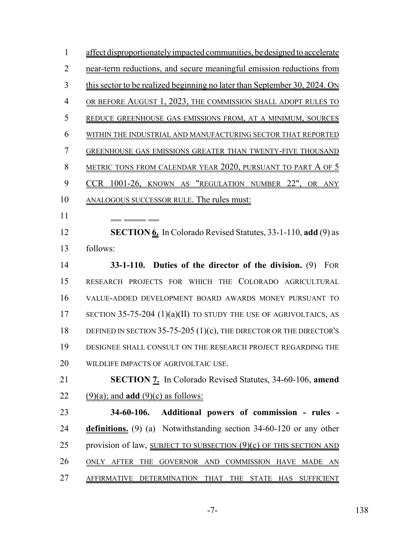affect disproportionately impacted communities, be designed to accelerate near-term reductions, and secure meaningful emission reductions from this sector to be realized beginning no later than September 30, 2024. ON OR BEFORE AUGUST 1, 2023, THE COMMISSION SHALL ADOPT RULES TO REDUCE GREENHOUSE GAS EMISSIONS FROM, AT A MINIMUM, SOURCES WITHIN THE INDUSTRIAL AND MANUFACTURING SECTOR THAT REPORTED GREENHOUSE GAS EMISSIONS GREATER THAN TWENTY-FIVE THOUSAND 8 METRIC TONS FROM CALENDAR YEAR 2020, PURSUANT TO PART A OF 5 CCR 1001-26, KNOWN AS "REGULATION NUMBER 22", OR ANY ANALOGOUS SUCCESSOR RULE. The rules must:  **SECTION 6.** In Colorado Revised Statutes, 33-1-110, **add** (9) as follows: **33-1-110. Duties of the director of the division.** (9) FOR RESEARCH PROJECTS FOR WHICH THE COLORADO AGRICULTURAL VALUE-ADDED DEVELOPMENT BOARD AWARDS MONEY PURSUANT TO 17 SECTION 35-75-204 (1)(a)(II) TO STUDY THE USE OF AGRIVOLTAICS, AS 18 DEFINED IN SECTION 35-75-205 (1)(c), THE DIRECTOR OR THE DIRECTOR'S DESIGNEE SHALL CONSULT ON THE RESEARCH PROJECT REGARDING THE WILDLIFE IMPACTS OF AGRIVOLTAIC USE. **SECTION 7.** In Colorado Revised Statutes, 34-60-106, **amend** 22 (9)(a); and **add** (9)(c) as follows: **34-60-106. Additional powers of commission - rules - definitions.** (9) (a) Notwithstanding section 34-60-120 or any other 25 provision of law, SUBJECT TO SUBSECTION (9)(c) OF THIS SECTION AND ONLY AFTER THE GOVERNOR AND COMMISSION HAVE MADE AN AFFIRMATIVE DETERMINATION THAT THE STATE HAS SUFFICIENT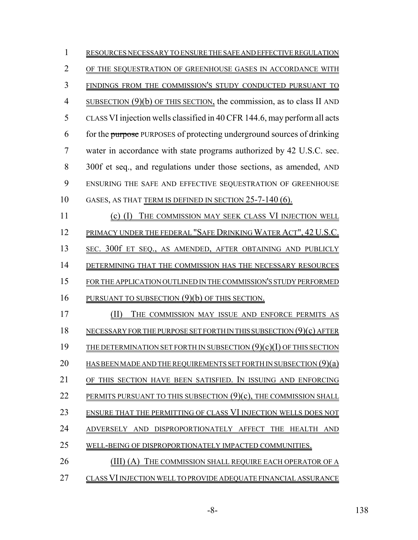| 1              | RESOURCES NECESSARY TO ENSURE THE SAFE AND EFFECTIVE REGULATION           |
|----------------|---------------------------------------------------------------------------|
| $\overline{2}$ | OF THE SEQUESTRATION OF GREENHOUSE GASES IN ACCORDANCE WITH               |
| 3              | FINDINGS FROM THE COMMISSION'S STUDY CONDUCTED PURSUANT TO                |
| $\overline{4}$ | SUBSECTION $(9)(b)$ OF THIS SECTION, the commission, as to class II AND   |
| 5              | CLASS VI injection wells classified in 40 CFR 144.6, may perform all acts |
| 6              | for the purpose PURPOSES of protecting underground sources of drinking    |
| 7              | water in accordance with state programs authorized by 42 U.S.C. sec.      |
| 8              | 300f et seq., and regulations under those sections, as amended, AND       |
| 9              | ENSURING THE SAFE AND EFFECTIVE SEQUESTRATION OF GREENHOUSE               |
| 10             | GASES, AS THAT TERM IS DEFINED IN SECTION 25-7-140 (6).                   |
| 11             | THE COMMISSION MAY SEEK CLASS VI INJECTION WELL<br>(1)<br>(c)             |
| 12             | PRIMACY UNDER THE FEDERAL "SAFE DRINKING WATER ACT", 42 U.S.C.            |
| 13             | SEC. 300f ET SEQ., AS AMENDED, AFTER OBTAINING AND PUBLICLY               |
| 14             | DETERMINING THAT THE COMMISSION HAS THE NECESSARY RESOURCES               |
| 15             | FOR THE APPLICATION OUTLINED IN THE COMMISSION'S STUDY PERFORMED          |
| 16             | PURSUANT TO SUBSECTION (9)(b) OF THIS SECTION.                            |
| 17             | THE COMMISSION MAY ISSUE AND ENFORCE PERMITS AS<br>(II)                   |
| 18             | NECESSARY FOR THE PURPOSE SET FORTH IN THIS SUBSECTION $(9)(c)$ AFTER     |
| 19             | THE DETERMINATION SET FORTH IN SUBSECTION $(9)(c)(I)$ OF THIS SECTION     |
| 20             | HAS BEEN MADE AND THE REQUIREMENTS SET FORTH IN SUBSECTION $(9)(a)$       |
| 21             | OF THIS SECTION HAVE BEEN SATISFIED. IN ISSUING AND ENFORCING             |
| 22             | PERMITS PURSUANT TO THIS SUBSECTION (9)(c), THE COMMISSION SHALL          |
| 23             | ENSURE THAT THE PERMITTING OF CLASS VI INJECTION WELLS DOES NOT           |
| 24             | ADVERSELY AND DISPROPORTIONATELY AFFECT THE HEALTH AND                    |
| 25             | WELL-BEING OF DISPROPORTIONATELY IMPACTED COMMUNITIES.                    |
| 26             | (III) (A) THE COMMISSION SHALL REQUIRE EACH OPERATOR OF A                 |
| 27             | CLASS VI INJECTION WELL TO PROVIDE ADEQUATE FINANCIAL ASSURANCE           |

-8- 138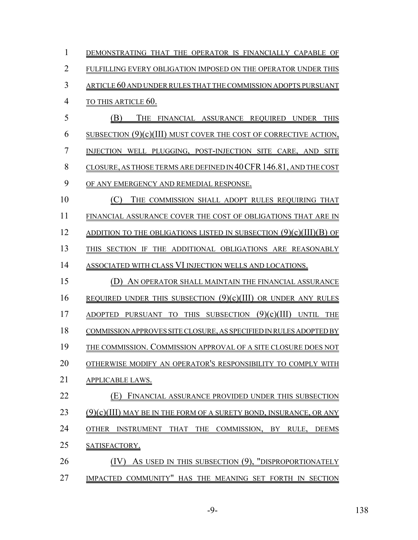| $\mathbf{1}$   | DEMONSTRATING THAT THE OPERATOR IS FINANCIALLY CAPABLE OF                         |
|----------------|-----------------------------------------------------------------------------------|
| $\overline{2}$ | FULFILLING EVERY OBLIGATION IMPOSED ON THE OPERATOR UNDER THIS                    |
| 3              | <u>ARTICLE 60 AND UNDER RULES THAT THE COMMISSION ADOPTS PURSUANT</u>             |
| $\overline{4}$ | <b>TO THIS ARTICLE 60.</b>                                                        |
| 5              | (B)<br>THE FINANCIAL ASSURANCE REQUIRED UNDER THIS                                |
| 6              | <u>SUBSECTION (9)(c)(III) MUST COVER THE COST OF CORRECTIVE ACTION,</u>           |
| $\overline{7}$ | INJECTION WELL PLUGGING, POST-INJECTION SITE CARE, AND SITE                       |
| 8              | CLOSURE, AS THOSE TERMS ARE DEFINED IN 40 CFR 146.81, AND THE COST                |
| 9              | OF ANY EMERGENCY AND REMEDIAL RESPONSE.                                           |
| 10             | (C)<br>THE COMMISSION SHALL ADOPT RULES REQUIRING THAT                            |
| 11             | FINANCIAL ASSURANCE COVER THE COST OF OBLIGATIONS THAT ARE IN                     |
| 12             | ADDITION TO THE OBLIGATIONS LISTED IN SUBSECTION $(9)(c)(III)(B)$ OF              |
| 13             | THIS SECTION IF THE ADDITIONAL OBLIGATIONS ARE REASONABLY                         |
| 14             | ASSOCIATED WITH CLASS VI INJECTION WELLS AND LOCATIONS.                           |
| 15             | (D) AN OPERATOR SHALL MAINTAIN THE FINANCIAL ASSURANCE                            |
| 16             | <u>REQUIRED UNDER THIS SUBSECTION <math>(9)(c)(III)</math> OR UNDER ANY RULES</u> |
| 17             | <u>ADOPTED PURSUANT TO THIS SUBSECTION <math>(9)(c)(III)</math> UNTIL THE</u>     |
| 18             | COMMISSION APPROVES SITE CLOSURE, AS SPECIFIED IN RULES ADOPTED BY                |
| 19             | THE COMMISSION. COMMISSION APPROVAL OF A SITE CLOSURE DOES NOT                    |
| 20             | OTHERWISE MODIFY AN OPERATOR'S RESPONSIBILITY TO COMPLY WITH                      |
| 21             | <b>APPLICABLE LAWS.</b>                                                           |
| 22             | FINANCIAL ASSURANCE PROVIDED UNDER THIS SUBSECTION                                |
| 23             | $(9)(c)(III)$ may be in the form of a surety bond, insurance, or any              |
| 24             | <b>OTHER</b><br>INSTRUMENT THAT THE COMMISSION, BY RULE, DEEMS                    |
| 25             | SATISFACTORY.                                                                     |
| 26             | AS USED IN THIS SUBSECTION (9), "DISPROPORTIONATELY                               |
| 27             | IMPACTED COMMUNITY" HAS THE MEANING SET FORTH IN SECTION                          |

-9- 138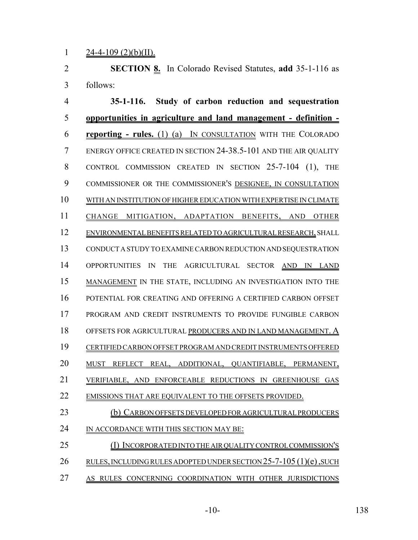1  $24-4-109$  (2)(b)(II).

 **SECTION 8.** In Colorado Revised Statutes, **add** 35-1-116 as follows:

 **35-1-116. Study of carbon reduction and sequestration opportunities in agriculture and land management - definition - reporting - rules.** (1) (a) IN CONSULTATION WITH THE COLORADO ENERGY OFFICE CREATED IN SECTION 24-38.5-101 AND THE AIR QUALITY CONTROL COMMISSION CREATED IN SECTION 25-7-104 (1), THE COMMISSIONER OR THE COMMISSIONER'S DESIGNEE, IN CONSULTATION WITH AN INSTITUTION OF HIGHER EDUCATION WITH EXPERTISE IN CLIMATE CHANGE MITIGATION, ADAPTATION BENEFITS, AND OTHER ENVIRONMENTAL BENEFITS RELATED TO AGRICULTURAL RESEARCH, SHALL CONDUCT A STUDY TO EXAMINE CARBON REDUCTION AND SEQUESTRATION 14 OPPORTUNITIES IN THE AGRICULTURAL SECTOR AND IN LAND MANAGEMENT IN THE STATE, INCLUDING AN INVESTIGATION INTO THE POTENTIAL FOR CREATING AND OFFERING A CERTIFIED CARBON OFFSET PROGRAM AND CREDIT INSTRUMENTS TO PROVIDE FUNGIBLE CARBON OFFSETS FOR AGRICULTURAL PRODUCERS AND IN LAND MANAGEMENT. A CERTIFIED CARBON OFFSET PROGRAM AND CREDIT INSTRUMENTS OFFERED MUST REFLECT REAL, ADDITIONAL, QUANTIFIABLE, PERMANENT, VERIFIABLE, AND ENFORCEABLE REDUCTIONS IN GREENHOUSE GAS 22 EMISSIONS THAT ARE EQUIVALENT TO THE OFFSETS PROVIDED. (b) CARBON OFFSETS DEVELOPED FOR AGRICULTURAL PRODUCERS IN ACCORDANCE WITH THIS SECTION MAY BE: (I) INCORPORATED INTO THE AIR QUALITY CONTROL COMMISSION'S 26 RULES, INCLUDING RULES ADOPTED UNDER SECTION 25-7-105 (1)(e), SUCH

AS RULES CONCERNING COORDINATION WITH OTHER JURISDICTIONS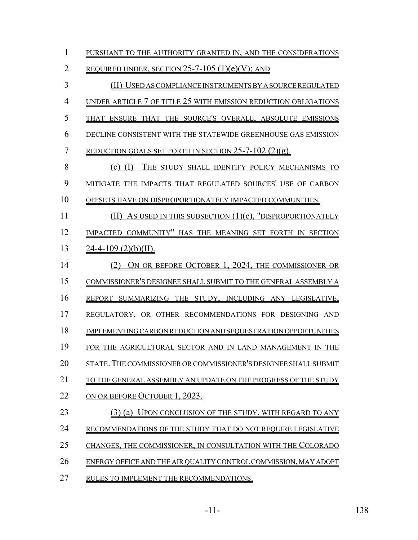| $\mathbf{1}$   | PURSUANT TO THE AUTHORITY GRANTED IN, AND THE CONSIDERATIONS     |
|----------------|------------------------------------------------------------------|
| $\overline{2}$ | <u>REQUIRED UNDER, SECTION 25-7-105 (1)(e)(V); AND</u>           |
| 3              | (II) USED AS COMPLIANCE INSTRUMENTS BY A SOURCE REGULATED        |
| $\overline{4}$ | UNDER ARTICLE 7 OF TITLE 25 WITH EMISSION REDUCTION OBLIGATIONS  |
| 5              | THAT ENSURE THAT THE SOURCE'S OVERALL, ABSOLUTE EMISSIONS        |
| 6              | DECLINE CONSISTENT WITH THE STATEWIDE GREENHOUSE GAS EMISSION    |
| $\overline{7}$ | <u>REDUCTION GOALS SET FORTH IN SECTION 25-7-102 (2)(g).</u>     |
| 8              | (c) (I) THE STUDY SHALL IDENTIFY POLICY MECHANISMS TO            |
| 9              | MITIGATE THE IMPACTS THAT REGULATED SOURCES' USE OF CARBON       |
| 10             | OFFSETS HAVE ON DISPROPORTIONATELY IMPACTED COMMUNITIES.         |
| 11             | $(II)$ As used in this subsection $(1)(c)$ , "disproportionately |
| 12             | IMPACTED COMMUNITY" HAS THE MEANING SET FORTH IN SECTION         |
| 13             | $24-4-109$ (2)(b)(II).                                           |
| 14             | (2) ON OR BEFORE OCTOBER 1, 2024, THE COMMISSIONER OR            |
| 15             | COMMISSIONER'S DESIGNEE SHALL SUBMIT TO THE GENERAL ASSEMBLY A   |
| 16             | REPORT SUMMARIZING THE STUDY, INCLUDING ANY LEGISLATIVE,         |
| 17             | REGULATORY, OR OTHER RECOMMENDATIONS FOR DESIGNING AND           |
| 18             | IMPLEMENTING CARBON REDUCTION AND SEQUESTRATION OPPORTUNITIES    |
| 19             | FOR THE AGRICULTURAL SECTOR AND IN LAND MANAGEMENT IN THE        |
| 20             | STATE. THE COMMISSIONER OR COMMISSIONER'S DESIGNEE SHALL SUBMIT  |
| 21             | TO THE GENERAL ASSEMBLY AN UPDATE ON THE PROGRESS OF THE STUDY   |
| 22             | ON OR BEFORE OCTOBER 1, 2023.                                    |
| 23             | (3) (a) UPON CONCLUSION OF THE STUDY, WITH REGARD TO ANY         |
| 24             | RECOMMENDATIONS OF THE STUDY THAT DO NOT REQUIRE LEGISLATIVE     |
| 25             | CHANGES, THE COMMISSIONER, IN CONSULTATION WITH THE COLORADO     |
| 26             | ENERGY OFFICE AND THE AIR QUALITY CONTROL COMMISSION, MAY ADOPT  |
| 27             | RULES TO IMPLEMENT THE RECOMMENDATIONS.                          |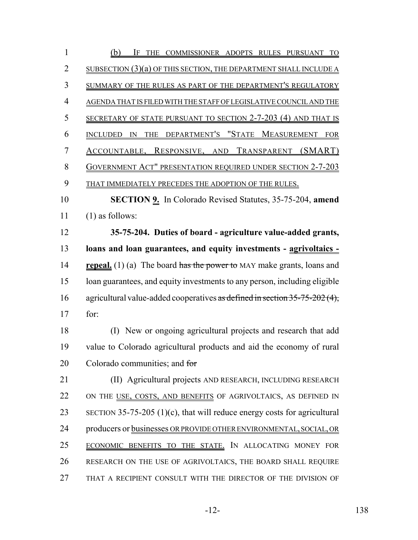| $\mathbf{1}$   | (b)<br>IF<br>THE COMMISSIONER ADOPTS RULES PURSUANT TO                       |
|----------------|------------------------------------------------------------------------------|
| $\overline{2}$ | SUBSECTION (3)(a) OF THIS SECTION, THE DEPARTMENT SHALL INCLUDE A            |
| 3              | SUMMARY OF THE RULES AS PART OF THE DEPARTMENT'S REGULATORY                  |
| $\overline{4}$ | AGENDA THAT IS FILED WITH THE STAFF OF LEGISLATIVE COUNCIL AND THE           |
| 5              | SECRETARY OF STATE PURSUANT TO SECTION 2-7-203 (4) AND THAT IS               |
| 6              | INCLUDED IN THE DEPARTMENT'S "STATE MEASUREMENT FOR                          |
| 7              | ACCOUNTABLE, RESPONSIVE, AND TRANSPARENT (SMART)                             |
| 8              | <b>GOVERNMENT ACT" PRESENTATION REQUIRED UNDER SECTION 2-7-203</b>           |
| 9              | THAT IMMEDIATELY PRECEDES THE ADOPTION OF THE RULES.                         |
| 10             | <b>SECTION 9.</b> In Colorado Revised Statutes, 35-75-204, amend             |
| 11             | $(1)$ as follows:                                                            |
| 12             | 35-75-204. Duties of board - agriculture value-added grants,                 |
| 13             | loans and loan guarantees, and equity investments - agrivoltaics -           |
| 14             | <b>repeal.</b> (1) (a) The board has the power to MAY make grants, loans and |
| 15             | loan guarantees, and equity investments to any person, including eligible    |
| 16             | agricultural value-added cooperatives as defined in section 35-75-202 (4),   |
| 17             | for:                                                                         |
| 18             | (I) New or ongoing agricultural projects and research that add               |
| 19             | value to Colorado agricultural products and aid the economy of rural         |
| 20             | Colorado communities; and for                                                |
| 21             | (II) Agricultural projects AND RESEARCH, INCLUDING RESEARCH                  |
| 22             | ON THE USE, COSTS, AND BENEFITS OF AGRIVOLTAICS, AS DEFINED IN               |
| 23             | SECTION 35-75-205 $(1)(c)$ , that will reduce energy costs for agricultural  |
| 24             | producers or businesses OR PROVIDE OTHER ENVIRONMENTAL, SOCIAL, OR           |
| 25             | ECONOMIC BENEFITS TO THE STATE. IN ALLOCATING MONEY FOR                      |
| 26             | RESEARCH ON THE USE OF AGRIVOLTAICS, THE BOARD SHALL REQUIRE                 |
| 27             | THAT A RECIPIENT CONSULT WITH THE DIRECTOR OF THE DIVISION OF                |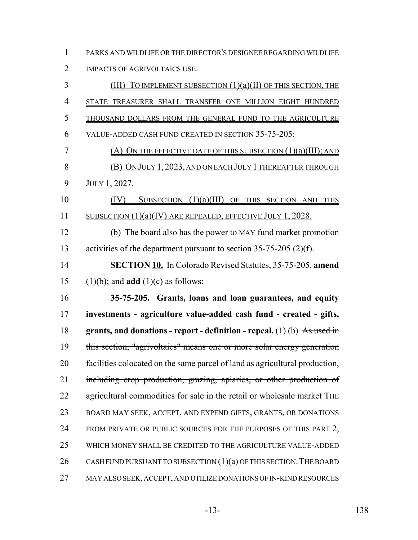PARKS AND WILDLIFE OR THE DIRECTOR'S DESIGNEE REGARDING WILDLIFE IMPACTS OF AGRIVOLTAICS USE.

| 3              | (III) TO IMPLEMENT SUBSECTION $(1)(a)(II)$ of this section, the             |
|----------------|-----------------------------------------------------------------------------|
| $\overline{4}$ | STATE TREASURER SHALL TRANSFER ONE MILLION EIGHT HUNDRED                    |
| 5              | THOUSAND DOLLARS FROM THE GENERAL FUND TO THE AGRICULTURE                   |
| 6              | <u>VALUE-ADDED CASH FUND CREATED IN SECTION 35-75-205:</u>                  |
| 7              | $(A)$ On the effective date of this subsection $(1)(a)(III)$ ; and          |
| 8              | (B) ON JULY 1, 2023, AND ON EACH JULY 1 THEREAFTER THROUGH                  |
| 9              | JULY 1, 2027.                                                               |
| 10             | SUBSECTION $(1)(a)(III)$ OF THIS SECTION AND THIS<br>(IV)                   |
| 11             | SUBSECTION $(1)(a)(IV)$ are repealed, effective July 1, 2028.               |
| 12             | (b) The board also has the power to MAY fund market promotion               |
| 13             | activities of the department pursuant to section $35-75-205$ (2)(f).        |
| 14             | <b>SECTION 10.</b> In Colorado Revised Statutes, 35-75-205, amend           |
| 15             | $(1)(b)$ ; and <b>add</b> $(1)(c)$ as follows:                              |
|                |                                                                             |
| 16             | 35-75-205. Grants, loans and loan guarantees, and equity                    |
| 17             | investments - agriculture value-added cash fund - created - gifts,          |
| 18             | grants, and donations - report - definition - repeal. $(1)$ (b) As used in  |
| 19             | this section, "agrivoltaics" means one or more solar energy generation      |
| 20             | facilities colocated on the same parcel of land as agricultural production, |
| 21             | including crop production, grazing, apiaries, or other production of        |
| 22             | agricultural commodities for sale in the retail or wholesale market THE     |
| 23             | BOARD MAY SEEK, ACCEPT, AND EXPEND GIFTS, GRANTS, OR DONATIONS              |
| 24             | FROM PRIVATE OR PUBLIC SOURCES FOR THE PURPOSES OF THIS PART 2,             |
| 25             | WHICH MONEY SHALL BE CREDITED TO THE AGRICULTURE VALUE-ADDED                |
| 26             | CASH FUND PURSUANT TO SUBSECTION $(1)(a)$ OF THIS SECTION. THE BOARD        |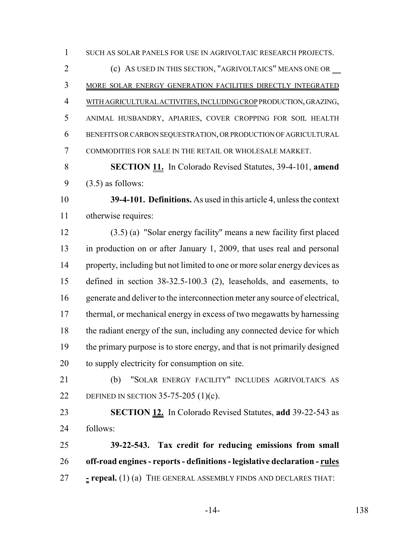SUCH AS SOLAR PANELS FOR USE IN AGRIVOLTAIC RESEARCH PROJECTS.

 (c) AS USED IN THIS SECTION, "AGRIVOLTAICS" MEANS ONE OR MORE SOLAR ENERGY GENERATION FACILITIES DIRECTLY INTEGRATED WITH AGRICULTURAL ACTIVITIES, INCLUDING CROP PRODUCTION, GRAZING, ANIMAL HUSBANDRY, APIARIES, COVER CROPPING FOR SOIL HEALTH BENEFITS OR CARBON SEQUESTRATION, OR PRODUCTION OF AGRICULTURAL COMMODITIES FOR SALE IN THE RETAIL OR WHOLESALE MARKET.

 **SECTION 11.** In Colorado Revised Statutes, 39-4-101, **amend** (3.5) as follows:

 **39-4-101. Definitions.** As used in this article 4, unless the context otherwise requires:

 (3.5) (a) "Solar energy facility" means a new facility first placed in production on or after January 1, 2009, that uses real and personal 14 property, including but not limited to one or more solar energy devices as defined in section 38-32.5-100.3 (2), leaseholds, and easements, to generate and deliver to the interconnection meter any source of electrical, thermal, or mechanical energy in excess of two megawatts by harnessing the radiant energy of the sun, including any connected device for which the primary purpose is to store energy, and that is not primarily designed to supply electricity for consumption on site.

 (b) "SOLAR ENERGY FACILITY" INCLUDES AGRIVOLTAICS AS DEFINED IN SECTION 35-75-205 (1)(c).

 **SECTION 12.** In Colorado Revised Statutes, **add** 39-22-543 as follows:

 **39-22-543. Tax credit for reducing emissions from small off-road engines - reports - definitions - legislative declaration - rules - repeal.** (1) (a) THE GENERAL ASSEMBLY FINDS AND DECLARES THAT: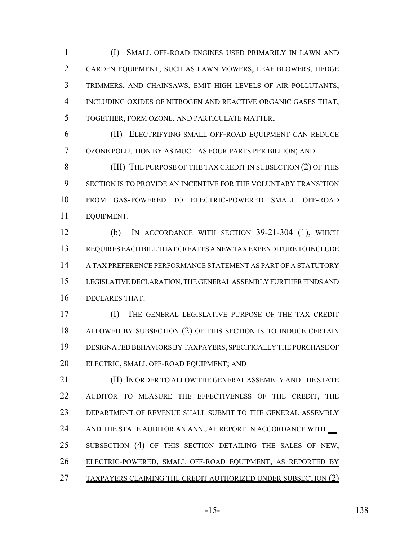(I) SMALL OFF-ROAD ENGINES USED PRIMARILY IN LAWN AND GARDEN EQUIPMENT, SUCH AS LAWN MOWERS, LEAF BLOWERS, HEDGE TRIMMERS, AND CHAINSAWS, EMIT HIGH LEVELS OF AIR POLLUTANTS, INCLUDING OXIDES OF NITROGEN AND REACTIVE ORGANIC GASES THAT, TOGETHER, FORM OZONE, AND PARTICULATE MATTER;

 (II) ELECTRIFYING SMALL OFF-ROAD EQUIPMENT CAN REDUCE OZONE POLLUTION BY AS MUCH AS FOUR PARTS PER BILLION; AND

8 (III) THE PURPOSE OF THE TAX CREDIT IN SUBSECTION (2) OF THIS SECTION IS TO PROVIDE AN INCENTIVE FOR THE VOLUNTARY TRANSITION FROM GAS-POWERED TO ELECTRIC-POWERED SMALL OFF-ROAD EQUIPMENT.

 (b) IN ACCORDANCE WITH SECTION 39-21-304 (1), WHICH REQUIRES EACH BILL THAT CREATES A NEW TAX EXPENDITURE TO INCLUDE A TAX PREFERENCE PERFORMANCE STATEMENT AS PART OF A STATUTORY LEGISLATIVE DECLARATION, THE GENERAL ASSEMBLY FURTHER FINDS AND DECLARES THAT:

 (I) THE GENERAL LEGISLATIVE PURPOSE OF THE TAX CREDIT ALLOWED BY SUBSECTION (2) OF THIS SECTION IS TO INDUCE CERTAIN DESIGNATED BEHAVIORS BY TAXPAYERS, SPECIFICALLY THE PURCHASE OF ELECTRIC, SMALL OFF-ROAD EQUIPMENT; AND

**(II) IN ORDER TO ALLOW THE GENERAL ASSEMBLY AND THE STATE**  AUDITOR TO MEASURE THE EFFECTIVENESS OF THE CREDIT, THE DEPARTMENT OF REVENUE SHALL SUBMIT TO THE GENERAL ASSEMBLY 24 AND THE STATE AUDITOR AN ANNUAL REPORT IN ACCORDANCE WITH 25 SUBSECTION (4) OF THIS SECTION DETAILING THE SALES OF NEW, ELECTRIC-POWERED, SMALL OFF-ROAD EQUIPMENT, AS REPORTED BY TAXPAYERS CLAIMING THE CREDIT AUTHORIZED UNDER SUBSECTION (2)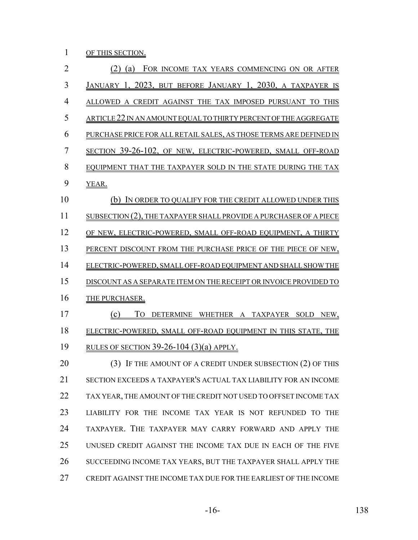1 OF THIS SECTION.

| $\overline{2}$ | (2) (a) FOR INCOME TAX YEARS COMMENCING ON OR AFTER                |
|----------------|--------------------------------------------------------------------|
| 3              | JANUARY 1, 2023, BUT BEFORE JANUARY 1, 2030, A TAXPAYER IS         |
| 4              | ALLOWED A CREDIT AGAINST THE TAX IMPOSED PURSUANT TO THIS          |
| 5              | ARTICLE 22 IN AN AMOUNT EQUAL TO THIRTY PERCENT OF THE AGGREGATE   |
| 6              | PURCHASE PRICE FOR ALL RETAIL SALES, AS THOSE TERMS ARE DEFINED IN |
| $\overline{7}$ | SECTION 39-26-102, OF NEW, ELECTRIC-POWERED, SMALL OFF-ROAD        |
| 8              | EQUIPMENT THAT THE TAXPAYER SOLD IN THE STATE DURING THE TAX       |
| 9              | YEAR.                                                              |
| 10             | (b) IN ORDER TO QUALIFY FOR THE CREDIT ALLOWED UNDER THIS          |
| 11             | SUBSECTION (2), THE TAXPAYER SHALL PROVIDE A PURCHASER OF A PIECE  |
| 12             | OF NEW, ELECTRIC-POWERED, SMALL OFF-ROAD EQUIPMENT, A THIRTY       |
| 13             | PERCENT DISCOUNT FROM THE PURCHASE PRICE OF THE PIECE OF NEW,      |
| 14             | ELECTRIC-POWERED, SMALL OFF-ROAD EQUIPMENT AND SHALL SHOW THE      |
| 15             | DISCOUNT AS A SEPARATE ITEM ON THE RECEIPT OR INVOICE PROVIDED TO  |
| 16             | THE PURCHASER.                                                     |
| 17             | To<br>(c)<br>DETERMINE WHETHER A TAXPAYER SOLD NEW,                |
| 18             | ELECTRIC-POWERED, SMALL OFF-ROAD EQUIPMENT IN THIS STATE, THE      |
| 19             | RULES OF SECTION 39-26-104 $(3)(a)$ APPLY.                         |
| 20             | (3) IF THE AMOUNT OF A CREDIT UNDER SUBSECTION (2) OF THIS         |
| 21             | SECTION EXCEEDS A TAXPAYER'S ACTUAL TAX LIABILITY FOR AN INCOME    |
| 22             | TAX YEAR, THE AMOUNT OF THE CREDIT NOT USED TO OFFSET INCOME TAX   |
| 23             | LIABILITY FOR THE INCOME TAX YEAR IS NOT REFUNDED TO THE           |
| 24             | TAXPAYER. THE TAXPAYER MAY CARRY FORWARD AND APPLY THE             |
| 25             | UNUSED CREDIT AGAINST THE INCOME TAX DUE IN EACH OF THE FIVE       |
| 26             | SUCCEEDING INCOME TAX YEARS, BUT THE TAXPAYER SHALL APPLY THE      |
| 27             | CREDIT AGAINST THE INCOME TAX DUE FOR THE EARLIEST OF THE INCOME   |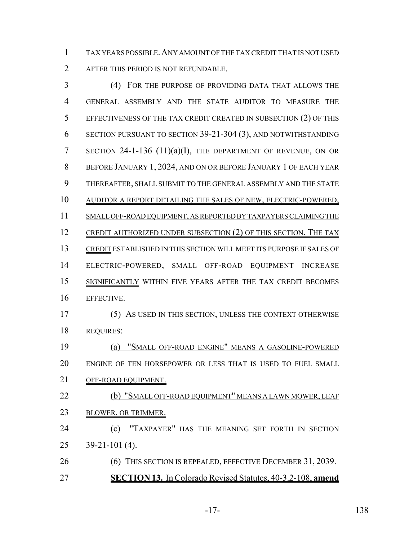TAX YEARS POSSIBLE.ANY AMOUNT OF THE TAX CREDIT THAT IS NOT USED AFTER THIS PERIOD IS NOT REFUNDABLE.

 (4) FOR THE PURPOSE OF PROVIDING DATA THAT ALLOWS THE GENERAL ASSEMBLY AND THE STATE AUDITOR TO MEASURE THE EFFECTIVENESS OF THE TAX CREDIT CREATED IN SUBSECTION (2) OF THIS SECTION PURSUANT TO SECTION 39-21-304 (3), AND NOTWITHSTANDING SECTION 24-1-136 (11)(a)(I), THE DEPARTMENT OF REVENUE, ON OR BEFORE JANUARY 1, 2024, AND ON OR BEFORE JANUARY 1 OF EACH YEAR THEREAFTER, SHALL SUBMIT TO THE GENERAL ASSEMBLY AND THE STATE AUDITOR A REPORT DETAILING THE SALES OF NEW, ELECTRIC-POWERED, SMALL OFF-ROAD EQUIPMENT, AS REPORTED BY TAXPAYERS CLAIMING THE 12 CREDIT AUTHORIZED UNDER SUBSECTION (2) OF THIS SECTION. THE TAX CREDIT ESTABLISHED IN THIS SECTION WILL MEET ITS PURPOSE IF SALES OF ELECTRIC-POWERED, SMALL OFF-ROAD EQUIPMENT INCREASE SIGNIFICANTLY WITHIN FIVE YEARS AFTER THE TAX CREDIT BECOMES EFFECTIVE. (5) AS USED IN THIS SECTION, UNLESS THE CONTEXT OTHERWISE REQUIRES: (a) "SMALL OFF-ROAD ENGINE" MEANS A GASOLINE-POWERED 20 ENGINE OF TEN HORSEPOWER OR LESS THAT IS USED TO FUEL SMALL OFF-ROAD EQUIPMENT. **(b) "SMALL OFF-ROAD EQUIPMENT" MEANS A LAWN MOWER, LEAF**  BLOWER, OR TRIMMER. (c) "TAXPAYER" HAS THE MEANING SET FORTH IN SECTION 39-21-101 (4). (6) THIS SECTION IS REPEALED, EFFECTIVE DECEMBER 31, 2039. **SECTION 13.** In Colorado Revised Statutes, 40-3.2-108, **amend**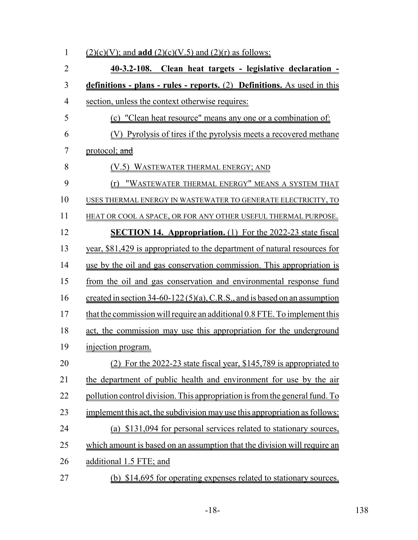| $\mathbf{1}$   | $(2)(c)(V)$ ; and <b>add</b> $(2)(c)(V.5)$ and $(2)(r)$ as follows:          |
|----------------|------------------------------------------------------------------------------|
| $\overline{2}$ | 40-3.2-108. Clean heat targets - legislative declaration -                   |
| 3              | definitions - plans - rules - reports. (2) Definitions. As used in this      |
| $\overline{4}$ | section, unless the context otherwise requires:                              |
| 5              | (c) "Clean heat resource" means any one or a combination of:                 |
| 6              | (V) Pyrolysis of tires if the pyrolysis meets a recovered methane            |
| $\overline{7}$ | protocol; and                                                                |
| 8              | (V.5) WASTEWATER THERMAL ENERGY; AND                                         |
| 9              | "WASTEWATER THERMAL ENERGY" MEANS A SYSTEM THAT<br>(r)                       |
| 10             | USES THERMAL ENERGY IN WASTEWATER TO GENERATE ELECTRICITY, TO                |
| 11             | HEAT OR COOL A SPACE, OR FOR ANY OTHER USEFUL THERMAL PURPOSE.               |
| 12             | <b>SECTION 14. Appropriation.</b> (1) For the 2022-23 state fiscal           |
| 13             | year, \$81,429 is appropriated to the department of natural resources for    |
| 14             | use by the oil and gas conservation commission. This appropriation is        |
| 15             | from the oil and gas conservation and environmental response fund            |
| 16             | created in section $34-60-122(5)(a)$ , C.R.S., and is based on an assumption |
| 17             | that the commission will require an additional 0.8 FTE. To implement this    |
| 18             | act, the commission may use this appropriation for the underground           |
| 19             | injection program.                                                           |
| 20             | For the 2022-23 state fiscal year, \$145,789 is appropriated to              |
| 21             | the department of public health and environment for use by the air           |
| 22             | pollution control division. This appropriation is from the general fund. To  |
| 23             | implement this act, the subdivision may use this appropriation as follows:   |
| 24             | (a) \$131,094 for personal services related to stationary sources,           |
| 25             | which amount is based on an assumption that the division will require an     |
| 26             | additional 1.5 FTE; and                                                      |
| 27             | (b) \$14,695 for operating expenses related to stationary sources.           |